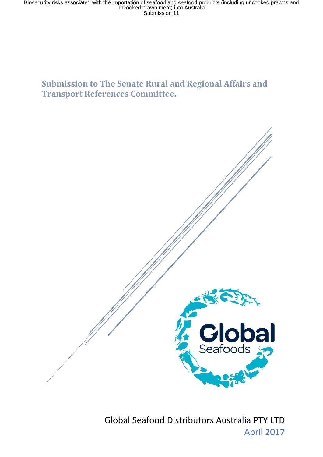Biosecurity risks associated with the importation of seafood and seafood products (including uncooked prawns and<br>uncooked prawn meat) into Australia<br>Submission 11

# **Submission to The Senate Rural and Regional Affairs and Transport References Committee.**

Global Seafood Distributors Australia PTY LTD April 2017

**Clobal**<br>Seafoods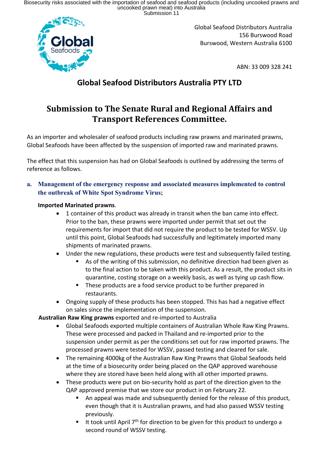Biosecurity risks associated with the importation of seafood and seafood products (including uncooked prawns and<br>uncooked prawn meat) into Australia<br>Submission 11



Global Seafood Distributors Australia 156 Burswood Road Burswood, Western Australia 6100

ABN: 33 009 328 241

# **Global Seafood Distributors Australia PTY LTD**

# **Submission to The Senate Rural and Regional Affairs and Transport References Committee.**

As an importer and wholesaler of seafood products including raw prawns and marinated prawns, Global Seafoods have been affected by the suspension of imported raw and marinated prawns.

The effect that this suspension has had on Global Seafoods is outlined by addressing the terms of reference as follows.

### **a. Management of the emergency response and associated measures implemented to control the outbreak of White Spot Syndrome Virus;**

### **Imported Marinated prawns**.

- 1 container of this product was already in transit when the ban came into effect. Prior to the ban, these prawns were imported under permit that set out the requirements for import that did not require the product to be tested for WSSV. Up until this point, Global Seafoods had successfully and legitimately imported many shipments of marinated prawns.
- Under the new regulations, these products were test and subsequently failed testing.
	- As of the writing of this submission, no definitive direction had been given as to the final action to be taken with this product. As a result, the product sits in quarantine, costing storage on a weekly basis, as well as tying up cash flow.
	- **These products are a food service product to be further prepared in** restaurants.
- Ongoing supply of these products has been stopped. This has had a negative effect on sales since the implementation of the suspension.

**Australian Raw King prawns** exported and re-imported to Australia

- Global Seafoods exported multiple containers of Australian Whole Raw King Prawns. These were processed and packed in Thailand and re-imported prior to the suspension under permit as per the conditions set out for raw imported prawns. The processed prawns were tested for WSSV, passed testing and cleared for sale.
- The remaining 4000kg of the Australian Raw King Prawns that Global Seafoods held at the time of a biosecurity order being placed on the QAP approved warehouse where they are stored have been held along with all other imported prawns.
- These products were put on bio-security hold as part of the direction given to the QAP approved premise that we store our product in on February 22.
	- An appeal was made and subsequently denied for the release of this product, even though that it is Australian prawns, and had also passed WSSV testing previously.
	- It took until April  $7<sup>th</sup>$  for direction to be given for this product to undergo a second round of WSSV testing.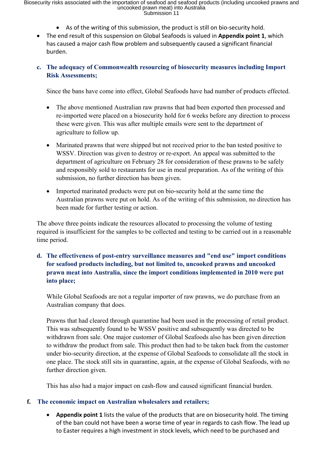- As of the writing of this submission, the product is still on bio-security hold.
- The end result of this suspension on Global Seafoods is valued in **Appendix point 1**, which has caused a major cash flow problem and subsequently caused a significant financial burden.

### **c. The adequacy of Commonwealth resourcing of biosecurity measures including Import Risk Assessments;**

Since the bans have come into effect, Global Seafoods have had number of products effected.

- The above mentioned Australian raw prawns that had been exported then processed and re-imported were placed on a biosecurity hold for 6 weeks before any direction to process these were given. This was after multiple emails were sent to the department of agriculture to follow up.
- Marinated prawns that were shipped but not received prior to the ban tested positive to WSSV. Direction was given to destroy or re-export. An appeal was submitted to the department of agriculture on February 28 for consideration of these prawns to be safely and responsibly sold to restaurants for use in meal preparation. As of the writing of this submission, no further direction has been given.
- Imported marinated products were put on bio-security hold at the same time the Australian prawns were put on hold. As of the writing of this submission, no direction has been made for further testing or action.

The above three points indicate the resources allocated to processing the volume of testing required is insufficient for the samples to be collected and testing to be carried out in a reasonable time period.

# **d. The effectiveness of post-entry surveillance measures and "end use" import conditions for seafood products including, but not limited to, uncooked prawns and uncooked prawn meat into Australia, since the import conditions implemented in 2010 were put into place;**

While Global Seafoods are not a regular importer of raw prawns, we do purchase from an Australian company that does.

Prawns that had cleared through quarantine had been used in the processing of retail product. This was subsequently found to be WSSV positive and subsequently was directed to be withdrawn from sale. One major customer of Global Seafoods also has been given direction to withdraw the product from sale. This product then had to be taken back from the customer under bio-security direction, at the expense of Global Seafoods to consolidate all the stock in one place. The stock still sits in quarantine, again, at the expense of Global Seafoods, with no further direction given.

This has also had a major impact on cash-flow and caused significant financial burden.

#### **f. The economic impact on Australian wholesalers and retailers;**

 **Appendix point 1** lists the value of the products that are on biosecurity hold. The timing of the ban could not have been a worse time of year in regards to cash flow. The lead up to Easter requires a high investment in stock levels, which need to be purchased and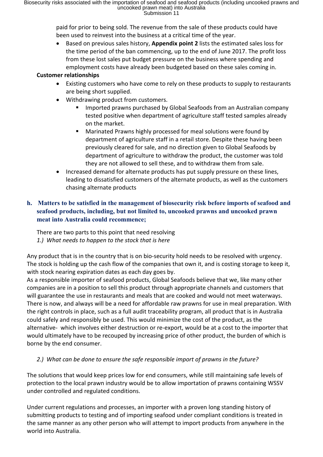paid for prior to being sold. The revenue from the sale of these products could have been used to reinvest into the business at a critical time of the year.

 Based on previous sales history, **Appendix point 2** lists the estimated sales loss for the time period of the ban commencing, up to the end of June 2017. The profit loss from these lost sales put budget pressure on the business where spending and employment costs have already been budgeted based on these sales coming in.

## **Customer relationships**

- Existing customers who have come to rely on these products to supply to restaurants are being short supplied.
- Withdrawing product from customers.
	- Imported prawns purchased by Global Seafoods from an Australian company tested positive when department of agriculture staff tested samples already on the market.
	- **Marinated Prawns highly processed for meal solutions were found by** department of agriculture staff in a retail store. Despite these having been previously cleared for sale, and no direction given to Global Seafoods by department of agriculture to withdraw the product, the customer was told they are not allowed to sell these, and to withdraw them from sale.
- Increased demand for alternate products has put supply pressure on these lines, leading to dissatisfied customers of the alternate products, as well as the customers chasing alternate products

# **h. Matters to be satisfied in the management of biosecurity risk before imports of seafood and seafood products, including, but not limited to, uncooked prawns and uncooked prawn meat into Australia could recommence;**

There are two parts to this point that need resolving *1.) What needs to happen to the stock that is here*

Any product that is in the country that is on bio-security hold needs to be resolved with urgency. The stock is holding up the cash flow of the companies that own it, and is costing storage to keep it, with stock nearing expiration dates as each day goes by.

As a responsible importer of seafood products, Global Seafoods believe that we, like many other companies are in a position to sell this product through appropriate channels and customers that will guarantee the use in restaurants and meals that are cooked and would not meet waterways. There is now, and always will be a need for affordable raw prawns for use in meal preparation. With the right controls in place, such as a full audit traceability program, all product that is in Australia could safely and responsibly be used. This would minimize the cost of the product, as the alternative- which involves either destruction or re-export, would be at a cost to the importer that would ultimately have to be recouped by increasing price of other product, the burden of which is borne by the end consumer.

## *2.) What can be done to ensure the safe responsible import of prawns in the future?*

The solutions that would keep prices low for end consumers, while still maintaining safe levels of protection to the local prawn industry would be to allow importation of prawns containing WSSV under controlled and regulated conditions.

Under current regulations and processes, an importer with a proven long standing history of submitting products to testing and of importing seafood under compliant conditions is treated in the same manner as any other person who will attempt to import products from anywhere in the world into Australia.